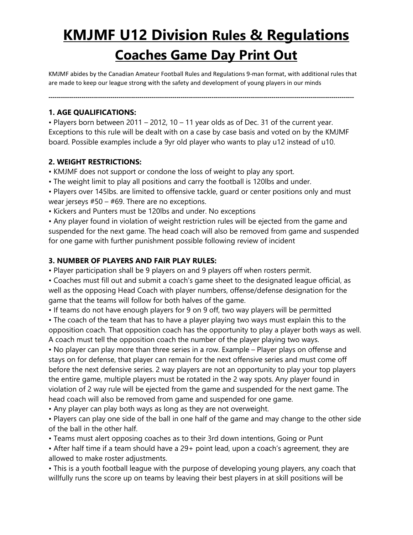# **KMJMF U12 Division Rules & Regulations**

# **Coaches Game Day Print Out**

KMJMF abides by the Canadian Amateur Football Rules and Regulations 9-man format, with additional rules that are made to keep our league strong with the safety and development of young players in our minds

**----------------------------------------------------------------------------------------------------------------------------------------------------**

#### **1. AGE QUALIFICATIONS:**

• Players born between 2011 – 2012, 10 – 11 year olds as of Dec. 31 of the current year. Exceptions to this rule will be dealt with on a case by case basis and voted on by the KMJMF board. Possible examples include a 9yr old player who wants to play u12 instead of u10.

### **2. WEIGHT RESTRICTIONS:**

• KMJMF does not support or condone the loss of weight to play any sport.

• The weight limit to play all positions and carry the football is 120lbs and under.

• Players over 145lbs. are limited to offensive tackle, guard or center positions only and must wear jerseys  $#50 - #69$ . There are no exceptions.

• Kickers and Punters must be 120lbs and under. No exceptions

• Any player found in violation of weight restriction rules will be ejected from the game and suspended for the next game. The head coach will also be removed from game and suspended for one game with further punishment possible following review of incident

#### **3. NUMBER OF PLAYERS AND FAIR PLAY RULES:**

• Player participation shall be 9 players on and 9 players off when rosters permit.

• Coaches must fill out and submit a coach's game sheet to the designated league official, as well as the opposing Head Coach with player numbers, offense/defense designation for the game that the teams will follow for both halves of the game.

• If teams do not have enough players for 9 on 9 off, two way players will be permitted

• The coach of the team that has to have a player playing two ways must explain this to the opposition coach. That opposition coach has the opportunity to play a player both ways as well. A coach must tell the opposition coach the number of the player playing two ways.

• No player can play more than three series in a row. Example – Player plays on offense and stays on for defense, that player can remain for the next offensive series and must come off before the next defensive series. 2 way players are not an opportunity to play your top players the entire game, multiple players must be rotated in the 2 way spots. Any player found in violation of 2 way rule will be ejected from the game and suspended for the next game. The head coach will also be removed from game and suspended for one game.

• Any player can play both ways as long as they are not overweight.

• Players can play one side of the ball in one half of the game and may change to the other side of the ball in the other half.

• Teams must alert opposing coaches as to their 3rd down intentions, Going or Punt

• After half time if a team should have a 29+ point lead, upon a coach's agreement, they are allowed to make roster adjustments.

• This is a youth football league with the purpose of developing young players, any coach that willfully runs the score up on teams by leaving their best players in at skill positions will be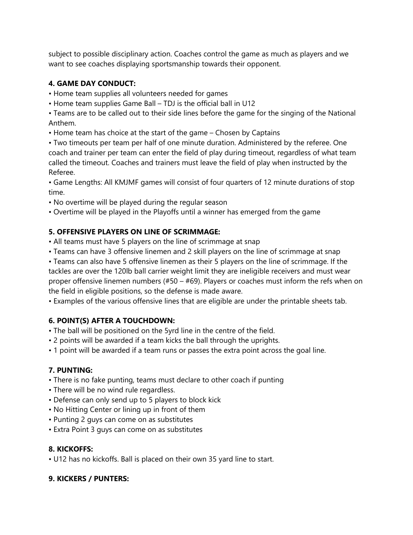subject to possible disciplinary action. Coaches control the game as much as players and we want to see coaches displaying sportsmanship towards their opponent.

## **4. GAME DAY CONDUCT:**

- Home team supplies all volunteers needed for games
- Home team supplies Game Ball TDJ is the official ball in U12

• Teams are to be called out to their side lines before the game for the singing of the National Anthem.

• Home team has choice at the start of the game – Chosen by Captains

• Two timeouts per team per half of one minute duration. Administered by the referee. One coach and trainer per team can enter the field of play during timeout, regardless of what team called the timeout. Coaches and trainers must leave the field of play when instructed by the Referee.

• Game Lengths: All KMJMF games will consist of four quarters of 12 minute durations of stop time.

- No overtime will be played during the regular season
- Overtime will be played in the Playoffs until a winner has emerged from the game

#### **5. OFFENSIVE PLAYERS ON LINE OF SCRIMMAGE:**

- All teams must have 5 players on the line of scrimmage at snap
- Teams can have 3 offensive linemen and 2 skill players on the line of scrimmage at snap

• Teams can also have 5 offensive linemen as their 5 players on the line of scrimmage. If the tackles are over the 120lb ball carrier weight limit they are ineligible receivers and must wear proper offensive linemen numbers (#50 – #69). Players or coaches must inform the refs when on the field in eligible positions, so the defense is made aware.

• Examples of the various offensive lines that are eligible are under the printable sheets tab.

#### **6. POINT(S) AFTER A TOUCHDOWN:**

- The ball will be positioned on the 5yrd line in the centre of the field.
- 2 points will be awarded if a team kicks the ball through the uprights.
- 1 point will be awarded if a team runs or passes the extra point across the goal line.

#### **7. PUNTING:**

- There is no fake punting, teams must declare to other coach if punting
- There will be no wind rule regardless.
- Defense can only send up to 5 players to block kick
- No Hitting Center or lining up in front of them
- Punting 2 guys can come on as substitutes
- Extra Point 3 guys can come on as substitutes

#### **8. KICKOFFS:**

• U12 has no kickoffs. Ball is placed on their own 35 yard line to start.

#### **9. KICKERS / PUNTERS:**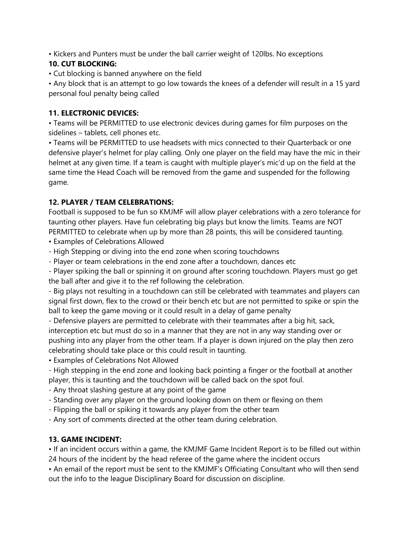• Kickers and Punters must be under the ball carrier weight of 120lbs. No exceptions

#### **10. CUT BLOCKING:**

• Cut blocking is banned anywhere on the field

• Any block that is an attempt to go low towards the knees of a defender will result in a 15 yard personal foul penalty being called

#### **11. ELECTRONIC DEVICES:**

• Teams will be PERMITTED to use electronic devices during games for film purposes on the sidelines – tablets, cell phones etc.

• Teams will be PERMITTED to use headsets with mics connected to their Quarterback or one defensive player's helmet for play calling. Only one player on the field may have the mic in their helmet at any given time. If a team is caught with multiple player's mic'd up on the field at the same time the Head Coach will be removed from the game and suspended for the following game.

### **12. PLAYER / TEAM CELEBRATIONS:**

Football is supposed to be fun so KMJMF will allow player celebrations with a zero tolerance for taunting other players. Have fun celebrating big plays but know the limits. Teams are NOT PERMITTED to celebrate when up by more than 28 points, this will be considered taunting.

- Examples of Celebrations Allowed
- High Stepping or diving into the end zone when scoring touchdowns
- Player or team celebrations in the end zone after a touchdown, dances etc

- Player spiking the ball or spinning it on ground after scoring touchdown. Players must go get the ball after and give it to the ref following the celebration.

- Big plays not resulting in a touchdown can still be celebrated with teammates and players can signal first down, flex to the crowd or their bench etc but are not permitted to spike or spin the ball to keep the game moving or it could result in a delay of game penalty

- Defensive players are permitted to celebrate with their teammates after a big hit, sack, interception etc but must do so in a manner that they are not in any way standing over or pushing into any player from the other team. If a player is down injured on the play then zero celebrating should take place or this could result in taunting.

• Examples of Celebrations Not Allowed

- High stepping in the end zone and looking back pointing a finger or the football at another player, this is taunting and the touchdown will be called back on the spot foul.

- Any throat slashing gesture at any point of the game
- Standing over any player on the ground looking down on them or flexing on them
- Flipping the ball or spiking it towards any player from the other team

- Any sort of comments directed at the other team during celebration.

#### **13. GAME INCIDENT:**

• If an incident occurs within a game, the KMJMF Game Incident Report is to be filled out within 24 hours of the incident by the head referee of the game where the incident occurs

• An email of the report must be sent to the KMJMF's Officiating Consultant who will then send out the info to the league Disciplinary Board for discussion on discipline.